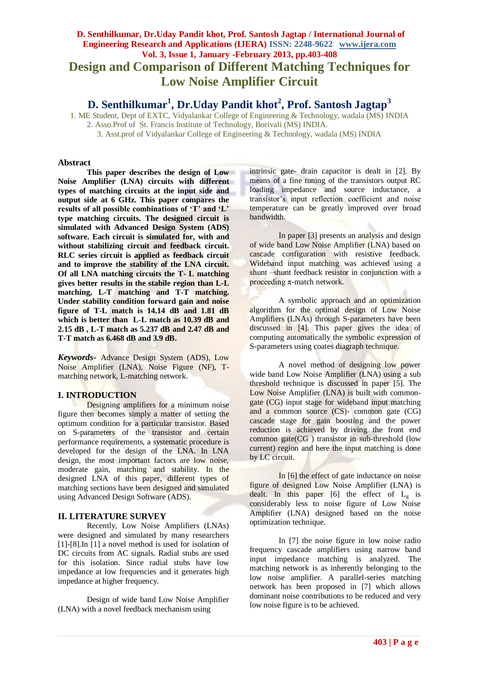# **D. Senthilkumar, Dr.Uday Pandit khot, Prof. Santosh Jagtap / International Journal of Engineering Research and Applications (IJERA) ISSN: 2248-9622 www.ijera.com Vol. 3, Issue 1, January -February 2013, pp.403-408 Design and Comparison of Different Matching Techniques for Low Noise Amplifier Circuit**

# **D. Senthilkumar<sup>1</sup> , Dr.Uday Pandit khot<sup>2</sup> , Prof. Santosh Jagtap<sup>3</sup>**

1. ME Student, Dept of EXTC, Vidyalankar College of Engineering & Technology, wadala (MS) INDIA 2. Asso.Prof of St. Francis Institute of Technology, Borivali (MS) INDIA.

3. Asst.prof of Vidyalankar College of Engineering & Technology, wadala (MS) INDIA

# **Abstract**

**This paper describes the design of Low Noise Amplifier (LNA) circuits with different types of matching circuits at the input side and output side at 6 GHz. This paper compares the results of all possible combinations of 'T' and 'L' type matching circuits. The designed circuit is simulated with Advanced Design System (ADS) software. Each circuit is simulated for, with and without stabilizing circuit and feedback circuit. RLC series circuit is applied as feedback circuit and to improve the stability of the LNA circuit. Of all LNA matching circuits the T- L matching gives better results in the stabile region than L-L matching, L-T matching and T-T matching. Under stability condition forward gain and noise figure of T-L match is 14.14 dB and 1.81 dB which is better than L-L match as 10.39 dB and 2.15 dB , L-T match as 5.237 dB and 2.47 dB and T-T match as 6.468 dB and 3.9 dB.**

*Keywords***-** Advance Design System (ADS), Low Noise Amplifier (LNA), Noise Figure (NF), Tmatching network, L-matching network.

#### **I. INTRODUCTION**

Designing amplifiers for a minimum noise figure then becomes simply a matter of setting the optimum condition for a particular transistor. Based on S-parameters of the transistor and certain performance requirements, a systematic procedure is developed for the design of the LNA. In LNA design, the most important factors are low noise, moderate gain, matching and stability. In the designed LNA of this paper, different types of matching sections have been designed and simulated using Advanced Design Software (ADS).

# **II. LITERATURE SURVEY**

Recently, Low Noise Amplifiers (LNAs) were designed and simulated by many researchers [1]-[8].In [1] a novel method is used for isolation of DC circuits from AC signals. Radial stubs are used for this isolation. Since radial stubs have low impedance at low frequencies and it generates high impedance at higher frequency.

Design of wide band Low Noise Amplifier (LNA) with a novel feedback mechanism using

intrinsic gate- drain capacitor is dealt in [2]. By means of a fine tuning of the transistors output RC loading impedance and source inductance, a transistor"s input reflection coefficient and noise temperature can be greatly improved over broad bandwidth.

In paper [3] presents an analysis and design of wide band Low Noise Amplifier (LNA) based on cascade configuration with resistive feedback. Wideband input matching was achieved using a shunt –shunt feedback resistor in conjunction with a proceeding  $\pi$ -match network.

A symbolic approach and an optimization algorithm for the optimal design of Low Noise Amplifiers (LNAs) through S-parameters have been discussed in [4]. This paper gives the idea of computing automatically the symbolic expression of S-parameters using coates diagraph technique.

A novel method of designing low power wide band Low Noise Amplifier (LNA) using a sub threshold technique is discussed in paper [5]. The Low Noise Amplifier (LNA) is built with commongate (CG) input stage for wideband input matching and a common source (CS)- common gate (CG) cascade stage for gain boosting and the power reduction is achieved by driving the front end common gate(CG ) transistor in sub-threshold (low current) region and here the input matching is done by LC circuit.

In [6] the effect of gate inductance on noise figure of designed Low Noise Amplifier (LNA) is dealt. In this paper [6] the effect of  $L_g$  is considerably less to noise figure of Low Noise Amplifier (LNA) designed based on the noise optimization technique.

In [7] the noise figure in low noise radio frequency cascade amplifiers using narrow band input impedance matching is analyzed. The matching network is as inherently belonging to the low noise amplifier. A parallel-series matching network has been proposed in [7] which allows dominant noise contributions to be reduced and very low noise figure is to be achieved.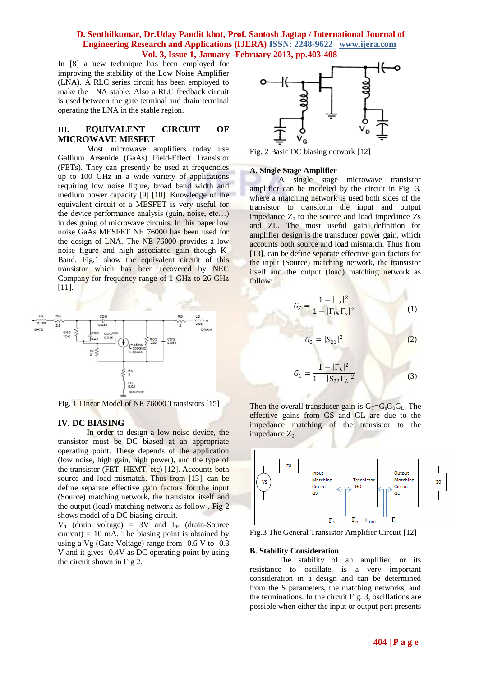In [8] a new technique has been employed for improving the stability of the Low Noise Amplifier (LNA). A RLC series circuit has been employed to make the LNA stable. Also a RLC feedback circuit is used between the gate terminal and drain terminal operating the LNA in the stable region.

# **III. EQUIVALENT CIRCUIT OF MICROWAVE MESFET**

Most microwave amplifiers today use Gallium Arsenide (GaAs) Field-Effect Transistor (FETs). They can presently be used at frequencies up to 100 GHz in a wide variety of applications requiring low noise figure, broad band width and medium power capacity [9] [10]. Knowledge of the equivalent circuit of a MESFET is very useful for the device performance analysis (gain, noise, etc…) in designing of microwave circuits. In this paper low noise GaAs MESFET NE 76000 has been used for the design of LNA. The NE 76000 provides a low noise figure and high associated gain though K-Band. Fig.1 show the equivalent circuit of this transistor which has been recovered by NEC Company for frequency range of 1 GHz to 26 GHz [11].



Fig. 1 Linear Model of NE 76000 Transistors [15]

# **IV. DC BIASING**

In order to design a low noise device, the transistor must be DC biased at an appropriate operating point. These depends of the application (low noise, high gain, high power), and the type of the transistor (FET, HEMT, etc) [12]. Accounts both source and load mismatch. Thus from [13], can be define separate effective gain factors for the input (Source) matching network, the transistor itself and the output (load) matching network as follow . Fig 2 shows model of a DC biasing circuit.

 $V_d$  (drain voltage) = 3V and  $I_{ds}$  (drain-Source current)  $= 10$  mA. The biasing point is obtained by using a Vg (Gate Voltage) range from -0.6 V to -0.3 V and it gives -0.4V as DC operating point by using the circuit shown in Fig 2.



Fig. 2 Basic DC biasing network [12]

#### **A. Single Stage Amplifier**

A single stage microwave transistor amplifier can be modeled by the circuit in Fig. 3, where a matching network is used both sides of the transistor to transform the input and output impedance  $Z_0$  to the source and load impedance  $Z_s$ and ZL. The most useful gain definition for amplifier design is the transducer power gain, which accounts both source and load mismatch. Thus from [13], can be define separate effective gain factors for the input (Source) matching network, the transistor itself and the output (load) matching network as follow:

$$
G_S = \frac{1 - |\Gamma_s|^2}{1 - |\Gamma_{IN}\Gamma_s|^2}
$$
 (1)

$$
G_0 = |S_{21}|^2 \tag{2}
$$

$$
G_L = \frac{1 - |\Gamma_L|^2}{1 - |S_{22}\Gamma_L|^2}
$$
 (3)

Then the overall transducer gain is  $G_T=G_sG_0G_L$ . The effective gains from GS and GL are due to the impedance matching of the transistor to the impedance  $Z_0$ .



Fig.3 The General Transistor Amplifier Circuit [12]

#### **B. Stability Consideration**

The stability of an amplifier, or its resistance to oscillate, is a very important consideration in a design and can be determined from the S parameters, the matching networks, and the terminations. In the circuit Fig. 3, oscillations are possible when either the input or output port presents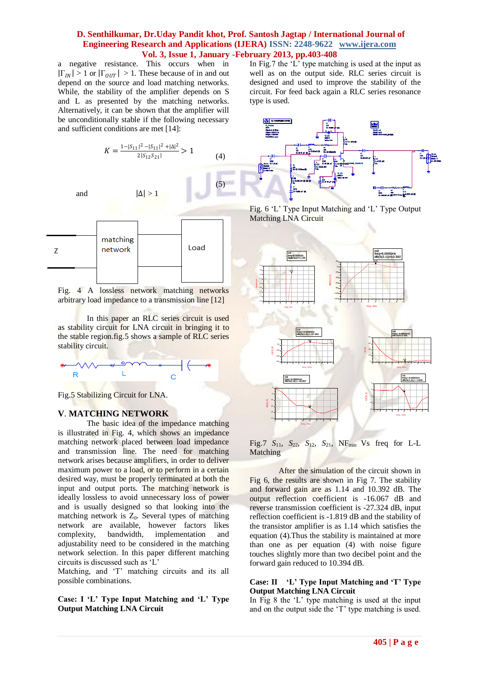(5)

a negative resistance. This occurs when in  $|\Gamma_{IN}| > 1$  or  $|\Gamma_{OUT}| > 1$ . These because of in and out depend on the source and load matching networks. While, the stability of the amplifier depends on S and L as presented by the matching networks. Alternatively, it can be shown that the amplifier will be unconditionally stable if the following necessary and sufficient conditions are met [14]:

$$
K = \frac{1 - |S_{11}|^2 - |S_{11}|^2 + |\Delta|^2}{2|S_{12}S_{21}|} > 1
$$
 (4)

and  $|\Delta| > 1$ 



Fig. 4 A lossless network matching networks arbitrary load impedance to a transmission line [12]

In this paper an RLC series circuit is used as stability circuit for LNA circuit in bringing it to the stable region.fig.5 shows a sample of RLC series stability circuit.



Fig.5 Stabilizing Circuit for LNA.

# **V**. **MATCHING NETWORK**

The basic idea of the impedance matching is illustrated in Fig. 4, which shows an impedance matching network placed between load impedance and transmission line. The need for matching network arises because amplifiers, in order to deliver maximum power to a load, or to perform in a certain desired way, must be properly terminated at both the input and output ports. The matching network is ideally lossless to avoid unnecessary loss of power and is usually designed so that looking into the matching network is  $Z_0$ . Several types of matching network are available, however factors likes complexity, bandwidth, implementation and adjustability need to be considered in the matching network selection. In this paper different matching circuits is discussed such as "L"

Matching, and 'T' matching circuits and its all possible combinations.

**Case: I 'L' Type Input Matching and 'L' Type Output Matching LNA Circuit**

In Fig.7 the "L" type matching is used at the input as well as on the output side. RLC series circuit is designed and used to improve the stability of the circuit. For feed back again a RLC series resonance type is used.



Fig. 6 "L" Type Input Matching and "L" Type Output Matching LNA Circuit



Fig.7  $S_{11}$ ,  $S_{22}$ ,  $S_{12}$ ,  $S_{21}$ , NF<sub>min</sub> Vs freq for L-L Matching

After the simulation of the circuit shown in Fig 6, the results are shown in Fig 7. The stability and forward gain are as 1.14 and 10.392 dB. The output reflection coefficient is -16.067 dB and reverse transmission coefficient is -27.324 dB, input reflection coefficient is -1.819 dB and the stability of the transistor amplifier is as 1.14 which satisfies the equation (4).Thus the stability is maintained at more than one as per equation (4) with noise figure touches slightly more than two decibel point and the forward gain reduced to 10.394 dB.

#### **Case: II 'L' Type Input Matching and 'T' Type Output Matching LNA Circuit**

In Fig 8 the "L" type matching is used at the input and on the output side the 'T' type matching is used.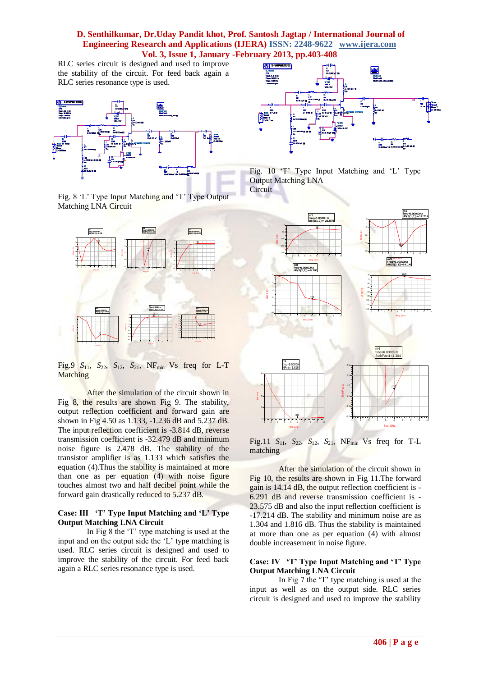RLC series circuit is designed and used to improve the stability of the circuit. For feed back again a RLC series resonance type is used.



Fig. 8 "L" Type Input Matching and "T" Type Output Matching LNA Circuit



Fig.9  $S_{11}$ ,  $S_{22}$ ,  $S_{12}$ ,  $S_{21}$ , NF<sub>min</sub> Vs freq for L-T Matching

After the simulation of the circuit shown in Fig 8, the results are shown Fig 9. The stability, output reflection coefficient and forward gain are shown in Fig 4.50 as 1.133, -1.236 dB and 5.237 dB. The input reflection coefficient is -3.814 dB, reverse transmission coefficient is -32.479 dB and minimum noise figure is 2.478 dB. The stability of the transistor amplifier is as 1.133 which satisfies the equation (4).Thus the stability is maintained at more than one as per equation (4) with noise figure touches almost two and half decibel point while the forward gain drastically reduced to 5.237 dB.

## **Case: III 'T' Type Input Matching and 'L' Type Output Matching LNA Circuit**

In Fig 8 the "T" type matching is used at the input and on the output side the "L" type matching is used. RLC series circuit is designed and used to improve the stability of the circuit. For feed back again a RLC series resonance type is used.



Fig. 10 'T' Type Input Matching and 'L' Type Output Matching LNA **Circuit** 



Fig.11 *S*11, *S*22, *S*12, *S*21, NFmin Vs freq for T-L matching

After the simulation of the circuit shown in Fig 10, the results are shown in Fig 11.The forward gain is 14.14 dB, the output reflection coefficient is - 6.291 dB and reverse transmission coefficient is - 23.575 dB and also the input reflection coefficient is -17.214 dB. The stability and minimum noise are as 1.304 and 1.816 dB. Thus the stability is maintained at more than one as per equation (4) with almost double increasement in noise figure.

#### **Case: IV 'T' Type Input Matching and 'T' Type Output Matching LNA Circuit**

In Fig 7 the "T" type matching is used at the input as well as on the output side. RLC series circuit is designed and used to improve the stability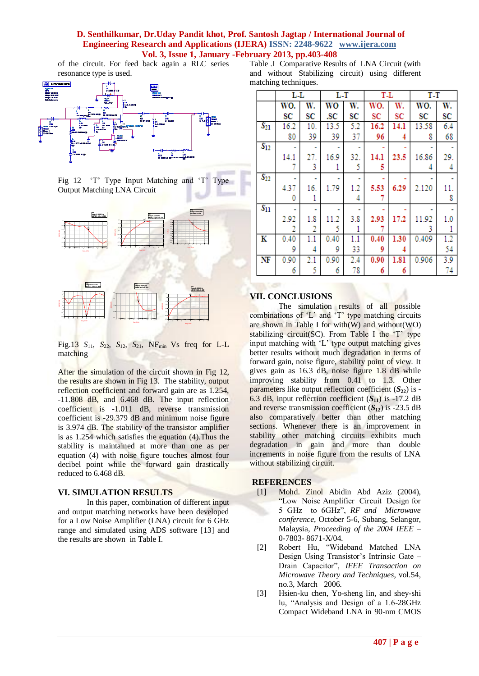of the circuit. For feed back again a RLC series resonance type is used.



Fig 12 'T' Type Input Matching and 'T' Type Output Matching LNA Circuit



Fig.13 *S*11, *S*22, *S*12, *S*21, NFmin Vs freq for L-L matching

1 2 3 4 5 6 7 8 9 10

1 2 3 4 5 6 7 8 9 10 freq, GHz

1 2 3 4 5 6 7 8 9 10

After the simulation of the circuit shown in Fig 12, the results are shown in Fig 13. The stability, output reflection coefficient and forward gain are as 1.254, -11.808 dB, and 6.468 dB. The input reflection coefficient is -1.011 dB, reverse transmission coefficient is -29.379 dB and minimum noise figure is 3.974 dB. The stability of the transistor amplifier is as 1.254 which satisfies the equation (4).Thus the stability is maintained at more than one as per equation (4) with noise figure touches almost four decibel point while the forward gain drastically reduced to 6.468 dB.

#### **VI. SIMULATION RESULTS**

In this paper, combination of different input and output matching networks have been developed for a Low Noise Amplifier (LNA) circuit for 6 GHz range and simulated using ADS software [13] and the results are shown in Table I.

| Table J. Comparative Results of LNA Circuit (with |                      |                                                  |  |  |  |  |  |  |  |  |
|---------------------------------------------------|----------------------|--------------------------------------------------|--|--|--|--|--|--|--|--|
|                                                   |                      | and without Stabilizing circuit) using different |  |  |  |  |  |  |  |  |
|                                                   | matching techniques. |                                                  |  |  |  |  |  |  |  |  |

|                        | $L-L$ |     | $L-T$ |     | T-L  |      | T-T   |     |
|------------------------|-------|-----|-------|-----|------|------|-------|-----|
|                        | WO.   | W.  | wo    | W.  | WO.  | W.   | WO.   | W.  |
|                        | SC    | SC  | .SC   | SC  | SC   | SC   | SC    | SC  |
| $S_{21}$               | 16.2  | 10. | 13.5  | 5.2 | 16.2 | 14.1 | 13.58 | 6.4 |
|                        | 80    | 39  | 39    | 37  | 96   | 4    | 8     | 68  |
| $S_{12}$               |       |     |       |     |      |      |       |     |
|                        | 14.1  | 27. | 16.9  | 32. | 14.1 | 23.5 | 16.86 | 29. |
|                        | 7     | 3   |       | 5   | 5    |      | 4     | 4   |
| $S_{22}$               |       |     |       |     |      |      |       |     |
|                        | 4.37  | 16. | 1.79  | 1.2 | 5.53 | 6.29 | 2.120 | 11. |
|                        | 0     | 1   |       | 4   |      |      |       | 8   |
| $S_{11}$               |       |     |       |     |      |      |       |     |
|                        | 2.92  | 1.8 | 11.2  | 3.8 | 2.93 | 17.2 | 11.92 | 1.0 |
|                        | 2     | 2   | 5     | 1   | 7    |      | 3     | 1   |
| K                      | 0.40  | 1.1 | 0.40  | 1.1 | 0.40 | 1.30 | 0.409 | 1.2 |
|                        | 9     | 4   | 9     | 33  | 9    | 4    |       | 54  |
| $\overline{\text{NF}}$ | 0.90  | 2.1 | 0.90  | 2.4 | 0.90 | 1.81 | 0.906 | 3.9 |
|                        | 6     | 5   | 6     | 78  | 6    | 6    |       | 74  |

#### **VII. CONCLUSIONS**

The simulation results of all possible combinations of 'L' and 'T' type matching circuits are shown in Table I for with(W) and without(WO) stabilizing circuit(SC). From Table I the  $T$  type input matching with "L" type output matching gives better results without much degradation in terms of forward gain, noise figure, stability point of view. It gives gain as 16.3 dB, noise figure 1.8 dB while improving stability from 0.41 to 1.3. Other parameters like output reflection coefficient  $(S_{22})$  is -6.3 dB, input reflection coefficient  $(S_{11})$  is -17.2 dB and reverse transmission coefficient  $(S_{12})$  is -23.5 dB also comparatively better than other matching sections. Whenever there is an improvement in stability other matching circuits exhibits much degradation in gain and more than double increments in noise figure from the results of LNA without stabilizing circuit.

#### **REFERENCES**

- [1] Mohd. Zinol Abidin Abd Aziz (2004), "Low Noise Amplifier Circuit Design for 5 GHz to 6GHz", *RF and Microwave conference*, October 5-6, Subang, Selangor, Malaysia, *Proceeding of the 2004 IEEE* – 0-7803- 8671-X/04.
- [2] Robert Hu, "Wideband Matched LNA Design Using Transistor's Intrinsic Gate -Drain Capacitor", *IEEE Transaction on Microwave Theory and Techniques*, vol.54, no.3, March 2006.
- [3] Hsien-ku chen, Yo-sheng lin, and shey-shi lu, "Analysis and Design of a 1.6-28GHz Compact Wideband LNA in 90-nm CMOS